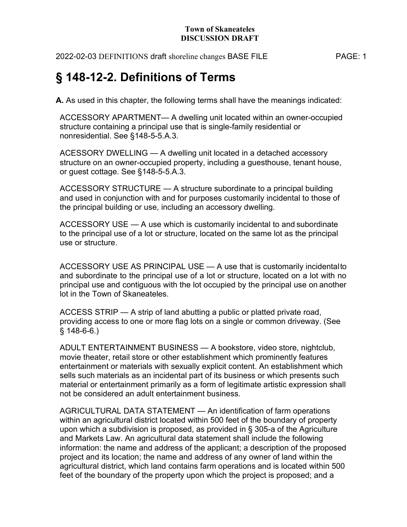2022-02-03 DEFINITIONS draft shoreline changes BASE FILE PAGE: 1

# § 148-12-2. Definitions of Terms

A. As used in this chapter, the following terms shall have the meanings indicated:

ACCESSORY APARTMENT— A dwelling unit located within an owner-occupied structure containing a principal use that is single-family residential or nonresidential. See §148-5-5.A.3.

ACESSORY DWELLING — A dwelling unit located in a detached accessory structure on an owner-occupied property, including a guesthouse, tenant house, or guest cottage. See §148-5-5.A.3.

ACCESSORY STRUCTURE — A structure subordinate to a principal building and used in conjunction with and for purposes customarily incidental to those of the principal building or use, including an accessory dwelling.

ACCESSORY USE — A use which is customarily incidental to and subordinate to the principal use of a lot or structure, located on the same lot as the principal use or structure.

ACCESSORY USE AS PRINCIPAL USE — A use that is customarily incidental to and subordinate to the principal use of a lot or structure, located on a lot with no principal use and contiguous with the lot occupied by the principal use on another lot in the Town of Skaneateles.

ACCESS STRIP — A strip of land abutting a public or platted private road, providing access to one or more flag lots on a single or common driveway. (See  $§ 148-6-6.$ 

ADULT ENTERTAINMENT BUSINESS — A bookstore, video store, nightclub, movie theater, retail store or other establishment which prominently features entertainment or materials with sexually explicit content. An establishment which sells such materials as an incidental part of its business or which presents such material or entertainment primarily as a form of legitimate artistic expression shall not be considered an adult entertainment business.

AGRICULTURAL DATA STATEMENT — An identification of farm operations within an agricultural district located within 500 feet of the boundary of property upon which a subdivision is proposed, as provided in § 305-a of the Agriculture and Markets Law. An agricultural data statement shall include the following information: the name and address of the applicant; a description of the proposed project and its location; the name and address of any owner of land within the agricultural district, which land contains farm operations and is located within 500 feet of the boundary of the property upon which the project is proposed; and a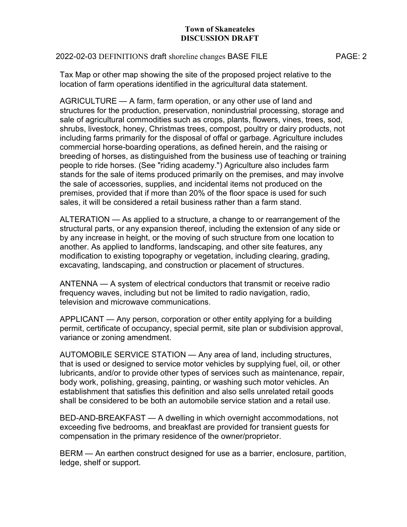## 2022-02-03 DEFINITIONS draft shoreline changes BASE FILE PAGE: 2

Tax Map or other map showing the site of the proposed project relative to the location of farm operations identified in the agricultural data statement.

AGRICULTURE — A farm, farm operation, or any other use of land and structures for the production, preservation, nonindustrial processing, storage and sale of agricultural commodities such as crops, plants, flowers, vines, trees, sod, shrubs, livestock, honey, Christmas trees, compost, poultry or dairy products, not including farms primarily for the disposal of offal or garbage. Agriculture includes commercial horse-boarding operations, as defined herein, and the raising or breeding of horses, as distinguished from the business use of teaching or training people to ride horses. (See "riding academy.") Agriculture also includes farm stands for the sale of items produced primarily on the premises, and may involve the sale of accessories, supplies, and incidental items not produced on the premises, provided that if more than 20% of the floor space is used for such sales, it will be considered a retail business rather than a farm stand.

ALTERATION — As applied to a structure, a change to or rearrangement of the structural parts, or any expansion thereof, including the extension of any side or by any increase in height, or the moving of such structure from one location to another. As applied to landforms, landscaping, and other site features, any modification to existing topography or vegetation, including clearing, grading, excavating, landscaping, and construction or placement of structures.

ANTENNA — A system of electrical conductors that transmit or receive radio frequency waves, including but not be limited to radio navigation, radio, television and microwave communications.

APPLICANT — Any person, corporation or other entity applying for a building permit, certificate of occupancy, special permit, site plan or subdivision approval, variance or zoning amendment.

AUTOMOBILE SERVICE STATION — Any area of land, including structures, that is used or designed to service motor vehicles by supplying fuel, oil, or other lubricants, and/or to provide other types of services such as maintenance, repair, body work, polishing, greasing, painting, or washing such motor vehicles. An establishment that satisfies this definition and also sells unrelated retail goods shall be considered to be both an automobile service station and a retail use.

BED-AND-BREAKFAST — A dwelling in which overnight accommodations, not exceeding five bedrooms, and breakfast are provided for transient guests for compensation in the primary residence of the owner/proprietor.

BERM — An earthen construct designed for use as a barrier, enclosure, partition, ledge, shelf or support.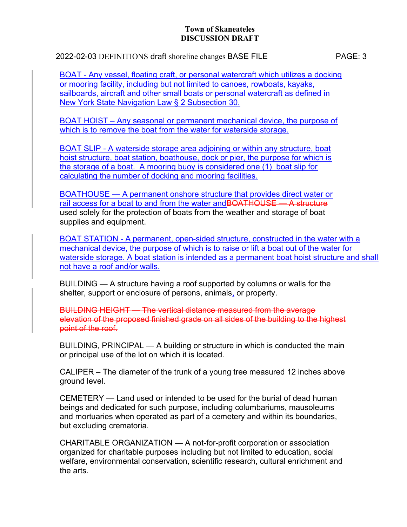2022-02-03 DEFINITIONS draft shoreline changes BASE FILE PAGE: 3

BOAT - Any vessel, floating craft, or personal watercraft which utilizes a docking or mooring facility, including but not limited to canoes, rowboats, kayaks, sailboards, aircraft and other small boats or personal watercraft as defined in New York State Navigation Law § 2 Subsection 30.

BOAT HOIST – Any seasonal or permanent mechanical device, the purpose of which is to remove the boat from the water for waterside storage.

BOAT SLIP - A waterside storage area adjoining or within any structure, boat hoist structure, boat station, boathouse, dock or pier, the purpose for which is the storage of a boat. A mooring buoy is considered one (1) boat slip for calculating the number of docking and mooring facilities.

BOATHOUSE — A permanent onshore structure that provides direct water or rail access for a boat to and from the water and BOATHOUSE - A structure used solely for the protection of boats from the weather and storage of boat supplies and equipment.

BOAT STATION - A permanent, open-sided structure, constructed in the water with a mechanical device, the purpose of which is to raise or lift a boat out of the water for waterside storage. A boat station is intended as a permanent boat hoist structure and shall not have a roof and/or walls.

BUILDING — A structure having a roof supported by columns or walls for the shelter, support or enclosure of persons, animals, or property.

BUILDING HEIGHT — The vertical distance measured from the average elevation of the proposed finished grade on all sides of the building to the highest point of the roof.

BUILDING, PRINCIPAL — A building or structure in which is conducted the main or principal use of the lot on which it is located.

CALIPER – The diameter of the trunk of a young tree measured 12 inches above ground level.

CEMETERY — Land used or intended to be used for the burial of dead human beings and dedicated for such purpose, including columbariums, mausoleums and mortuaries when operated as part of a cemetery and within its boundaries, but excluding crematoria.

CHARITABLE ORGANIZATION — A not-for-profit corporation or association organized for charitable purposes including but not limited to education, social welfare, environmental conservation, scientific research, cultural enrichment and the arts.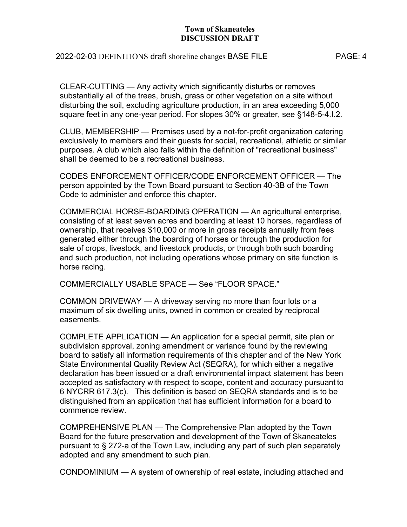## 2022-02-03 DEFINITIONS draft shoreline changes BASE FILE PAGE: 4

CLEAR-CUTTING — Any activity which significantly disturbs or removes substantially all of the trees, brush, grass or other vegetation on a site without disturbing the soil, excluding agriculture production, in an area exceeding 5,000 square feet in any one-year period. For slopes 30% or greater, see §148-5-4.I.2.

CLUB, MEMBERSHIP — Premises used by a not-for-profit organization catering exclusively to members and their guests for social, recreational, athletic or similar purposes. A club which also falls within the definition of "recreational business" shall be deemed to be a recreational business.

CODES ENFORCEMENT OFFICER/CODE ENFORCEMENT OFFICER — The person appointed by the Town Board pursuant to Section 40-3B of the Town Code to administer and enforce this chapter.

COMMERCIAL HORSE-BOARDING OPERATION — An agricultural enterprise, consisting of at least seven acres and boarding at least 10 horses, regardless of ownership, that receives \$10,000 or more in gross receipts annually from fees generated either through the boarding of horses or through the production for sale of crops, livestock, and livestock products, or through both such boarding and such production, not including operations whose primary on site function is horse racing.

COMMERCIALLY USABLE SPACE — See "FLOOR SPACE."

COMMON DRIVEWAY — A driveway serving no more than four lots or a maximum of six dwelling units, owned in common or created by reciprocal easements.

COMPLETE APPLICATION — An application for a special permit, site plan or subdivision approval, zoning amendment or variance found by the reviewing board to satisfy all information requirements of this chapter and of the New York State Environmental Quality Review Act (SEQRA), for which either a negative declaration has been issued or a draft environmental impact statement has been accepted as satisfactory with respect to scope, content and accuracy pursuant to 6 NYCRR 617.3(c). This definition is based on SEQRA standards and is to be distinguished from an application that has sufficient information for a board to commence review.

COMPREHENSIVE PLAN — The Comprehensive Plan adopted by the Town Board for the future preservation and development of the Town of Skaneateles pursuant to § 272-a of the Town Law, including any part of such plan separately adopted and any amendment to such plan.

CONDOMINIUM — A system of ownership of real estate, including attached and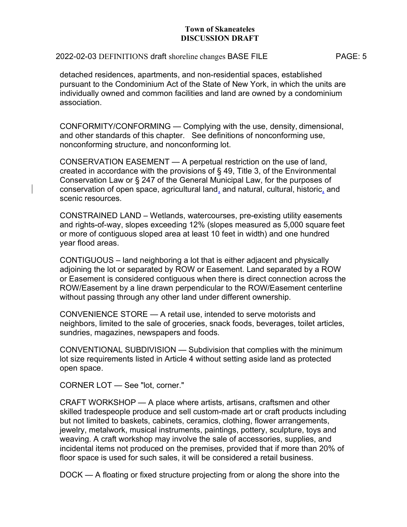## 2022-02-03 DEFINITIONS draft shoreline changes BASE FILE PAGE: 5

detached residences, apartments, and non-residential spaces, established pursuant to the Condominium Act of the State of New York, in which the units are individually owned and common facilities and land are owned by a condominium association.

CONFORMITY/CONFORMING — Complying with the use, density, dimensional, and other standards of this chapter. See definitions of nonconforming use, nonconforming structure, and nonconforming lot.

CONSERVATION EASEMENT — A perpetual restriction on the use of land, created in accordance with the provisions of § 49, Title 3, of the Environmental Conservation Law or § 247 of the General Municipal Law, for the purposes of conservation of open space, agricultural land, and natural, cultural, historic, and scenic resources.

CONSTRAINED LAND – Wetlands, watercourses, pre-existing utility easements and rights-of-way, slopes exceeding 12% (slopes measured as 5,000 square feet or more of contiguous sloped area at least 10 feet in width) and one hundred year flood areas.

CONTIGUOUS – land neighboring a lot that is either adjacent and physically adjoining the lot or separated by ROW or Easement. Land separated by a ROW or Easement is considered contiguous when there is direct connection across the ROW/Easement by a line drawn perpendicular to the ROW/Easement centerline without passing through any other land under different ownership.

CONVENIENCE STORE — A retail use, intended to serve motorists and neighbors, limited to the sale of groceries, snack foods, beverages, toilet articles, sundries, magazines, newspapers and foods.

CONVENTIONAL SUBDIVISION — Subdivision that complies with the minimum lot size requirements listed in Article 4 without setting aside land as protected open space.

CORNER LOT — See "lot, corner."

CRAFT WORKSHOP — A place where artists, artisans, craftsmen and other skilled tradespeople produce and sell custom-made art or craft products including but not limited to baskets, cabinets, ceramics, clothing, flower arrangements, jewelry, metalwork, musical instruments, paintings, pottery, sculpture, toys and weaving. A craft workshop may involve the sale of accessories, supplies, and incidental items not produced on the premises, provided that if more than 20% of floor space is used for such sales, it will be considered a retail business.

DOCK — A floating or fixed structure projecting from or along the shore into the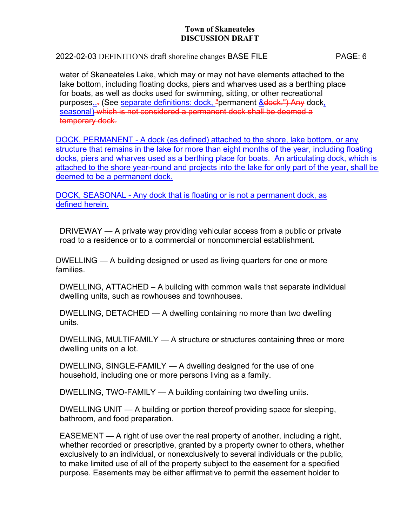## 2022-02-03 DEFINITIONS draft shoreline changes BASE FILE PAGE: 6

water of Skaneateles Lake, which may or may not have elements attached to the lake bottom, including floating docks, piers and wharves used as a berthing place for boats, as well as docks used for swimming, sitting, or other recreational purposes... (See separate definitions: dock, "permanent & dock.") Any dock, seasonal) which is not considered a permanent dock shall be deemed a temporary dock.

DOCK, PERMANENT - A dock (as defined) attached to the shore, lake bottom, or any structure that remains in the lake for more than eight months of the year, including floating docks, piers and wharves used as a berthing place for boats. An articulating dock, which is attached to the shore year-round and projects into the lake for only part of the year, shall be deemed to be a permanent dock.

DOCK, SEASONAL - Any dock that is floating or is not a permanent dock, as defined herein.

DRIVEWAY — A private way providing vehicular access from a public or private road to a residence or to a commercial or noncommercial establishment.

DWELLING — A building designed or used as living quarters for one or more families.

DWELLING, ATTACHED – A building with common walls that separate individual dwelling units, such as rowhouses and townhouses.

DWELLING, DETACHED — A dwelling containing no more than two dwelling units.

DWELLING, MULTIFAMILY — A structure or structures containing three or more dwelling units on a lot.

DWELLING, SINGLE-FAMILY — A dwelling designed for the use of one household, including one or more persons living as a family.

DWELLING, TWO-FAMILY — A building containing two dwelling units.

DWELLING UNIT — A building or portion thereof providing space for sleeping, bathroom, and food preparation.

EASEMENT — A right of use over the real property of another, including a right, whether recorded or prescriptive, granted by a property owner to others, whether exclusively to an individual, or nonexclusively to several individuals or the public, to make limited use of all of the property subject to the easement for a specified purpose. Easements may be either affirmative to permit the easement holder to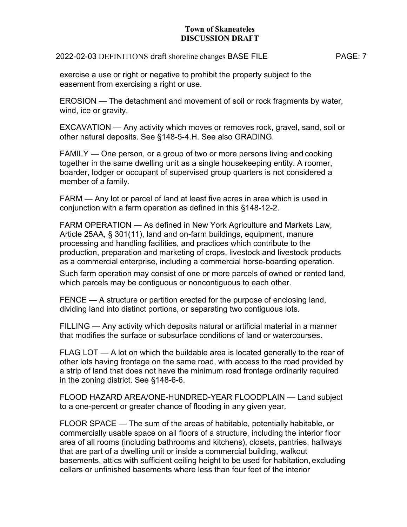2022-02-03 DEFINITIONS draft shoreline changes BASE FILE PAGE: 7

exercise a use or right or negative to prohibit the property subject to the easement from exercising a right or use.

EROSION — The detachment and movement of soil or rock fragments by water, wind, ice or gravity.

EXCAVATION — Any activity which moves or removes rock, gravel, sand, soil or other natural deposits. See §148-5-4.H. See also GRADING.

FAMILY — One person, or a group of two or more persons living and cooking together in the same dwelling unit as a single housekeeping entity. A roomer, boarder, lodger or occupant of supervised group quarters is not considered a member of a family.

FARM — Any lot or parcel of land at least five acres in area which is used in conjunction with a farm operation as defined in this §148-12-2.

FARM OPERATION — As defined in New York Agriculture and Markets Law, Article 25AA, § 301(11), land and on-farm buildings, equipment, manure processing and handling facilities, and practices which contribute to the production, preparation and marketing of crops, livestock and livestock products as a commercial enterprise, including a commercial horse-boarding operation.

Such farm operation may consist of one or more parcels of owned or rented land, which parcels may be contiguous or noncontiguous to each other.

FENCE — A structure or partition erected for the purpose of enclosing land, dividing land into distinct portions, or separating two contiguous lots.

FILLING — Any activity which deposits natural or artificial material in a manner that modifies the surface or subsurface conditions of land or watercourses.

FLAG LOT — A lot on which the buildable area is located generally to the rear of other lots having frontage on the same road, with access to the road provided by a strip of land that does not have the minimum road frontage ordinarily required in the zoning district. See §148-6-6.

FLOOD HAZARD AREA/ONE-HUNDRED-YEAR FLOODPLAIN — Land subject to a one-percent or greater chance of flooding in any given year.

FLOOR SPACE — The sum of the areas of habitable, potentially habitable, or commercially usable space on all floors of a structure, including the interior floor area of all rooms (including bathrooms and kitchens), closets, pantries, hallways that are part of a dwelling unit or inside a commercial building, walkout basements, attics with sufficient ceiling height to be used for habitation, excluding cellars or unfinished basements where less than four feet of the interior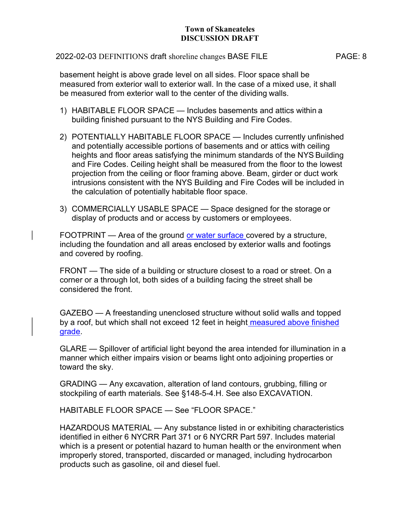## 2022-02-03 DEFINITIONS draft shoreline changes BASE FILE PAGE: 8

basement height is above grade level on all sides. Floor space shall be measured from exterior wall to exterior wall. In the case of a mixed use, it shall be measured from exterior wall to the center of the dividing walls.

- 1) HABITABLE FLOOR SPACE Includes basements and attics within a building finished pursuant to the NYS Building and Fire Codes.
- 2) POTENTIALLY HABITABLE FLOOR SPACE Includes currently unfinished and potentially accessible portions of basements and or attics with ceiling heights and floor areas satisfying the minimum standards of the NYS Building and Fire Codes. Ceiling height shall be measured from the floor to the lowest projection from the ceiling or floor framing above. Beam, girder or duct work intrusions consistent with the NYS Building and Fire Codes will be included in the calculation of potentially habitable floor space.
- 3) COMMERCIALLY USABLE SPACE Space designed for the storage or display of products and or access by customers or employees.

FOOTPRINT — Area of the ground or water surface covered by a structure, including the foundation and all areas enclosed by exterior walls and footings and covered by roofing.

FRONT — The side of a building or structure closest to a road or street. On a corner or a through lot, both sides of a building facing the street shall be considered the front.

GAZEBO — A freestanding unenclosed structure without solid walls and topped by a roof, but which shall not exceed 12 feet in height measured above finished grade.

GLARE — Spillover of artificial light beyond the area intended for illumination in a manner which either impairs vision or beams light onto adjoining properties or toward the sky.

GRADING — Any excavation, alteration of land contours, grubbing, filling or stockpiling of earth materials. See §148-5-4.H. See also EXCAVATION.

HABITABLE FLOOR SPACE — See "FLOOR SPACE."

HAZARDOUS MATERIAL — Any substance listed in or exhibiting characteristics identified in either 6 NYCRR Part 371 or 6 NYCRR Part 597. Includes material which is a present or potential hazard to human health or the environment when improperly stored, transported, discarded or managed, including hydrocarbon products such as gasoline, oil and diesel fuel.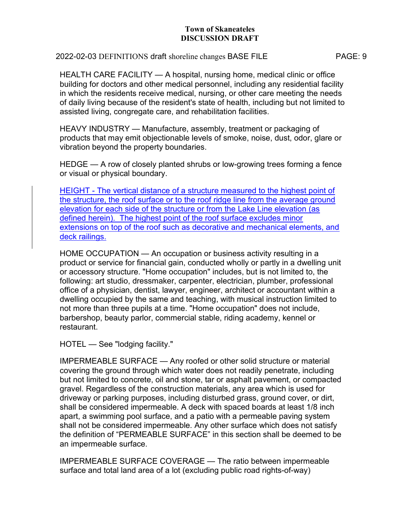2022-02-03 DEFINITIONS draft shoreline changes BASE FILE PAGE: 9

HEALTH CARE FACILITY — A hospital, nursing home, medical clinic or office building for doctors and other medical personnel, including any residential facility in which the residents receive medical, nursing, or other care meeting the needs of daily living because of the resident's state of health, including but not limited to assisted living, congregate care, and rehabilitation facilities.

HEAVY INDUSTRY — Manufacture, assembly, treatment or packaging of products that may emit objectionable levels of smoke, noise, dust, odor, glare or vibration beyond the property boundaries.

HEDGE — A row of closely planted shrubs or low-growing trees forming a fence or visual or physical boundary.

HEIGHT - The vertical distance of a structure measured to the highest point of the structure, the roof surface or to the roof ridge line from the average ground elevation for each side of the structure or from the Lake Line elevation (as defined herein). The highest point of the roof surface excludes minor extensions on top of the roof such as decorative and mechanical elements, and deck railings.

HOME OCCUPATION — An occupation or business activity resulting in a product or service for financial gain, conducted wholly or partly in a dwelling unit or accessory structure. "Home occupation" includes, but is not limited to, the following: art studio, dressmaker, carpenter, electrician, plumber, professional office of a physician, dentist, lawyer, engineer, architect or accountant within a dwelling occupied by the same and teaching, with musical instruction limited to not more than three pupils at a time. "Home occupation" does not include, barbershop, beauty parlor, commercial stable, riding academy, kennel or restaurant.

HOTEL — See "lodging facility."

IMPERMEABLE SURFACE — Any roofed or other solid structure or material covering the ground through which water does not readily penetrate, including but not limited to concrete, oil and stone, tar or asphalt pavement, or compacted gravel. Regardless of the construction materials, any area which is used for driveway or parking purposes, including disturbed grass, ground cover, or dirt, shall be considered impermeable. A deck with spaced boards at least 1/8 inch apart, a swimming pool surface, and a patio with a permeable paving system shall not be considered impermeable. Any other surface which does not satisfy the definition of "PERMEABLE SURFACE" in this section shall be deemed to be an impermeable surface.

IMPERMEABLE SURFACE COVERAGE — The ratio between impermeable surface and total land area of a lot (excluding public road rights-of-way)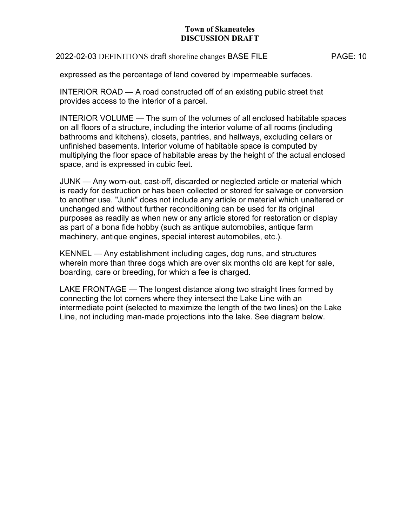## 2022-02-03 DEFINITIONS draft shoreline changes BASE FILE PAGE: 10

expressed as the percentage of land covered by impermeable surfaces.

INTERIOR ROAD — A road constructed off of an existing public street that provides access to the interior of a parcel.

INTERIOR VOLUME — The sum of the volumes of all enclosed habitable spaces on all floors of a structure, including the interior volume of all rooms (including bathrooms and kitchens), closets, pantries, and hallways, excluding cellars or unfinished basements. Interior volume of habitable space is computed by multiplying the floor space of habitable areas by the height of the actual enclosed space, and is expressed in cubic feet.

JUNK — Any worn-out, cast-off, discarded or neglected article or material which is ready for destruction or has been collected or stored for salvage or conversion to another use. "Junk" does not include any article or material which unaltered or unchanged and without further reconditioning can be used for its original purposes as readily as when new or any article stored for restoration or display as part of a bona fide hobby (such as antique automobiles, antique farm machinery, antique engines, special interest automobiles, etc.).

KENNEL — Any establishment including cages, dog runs, and structures wherein more than three dogs which are over six months old are kept for sale, boarding, care or breeding, for which a fee is charged.

LAKE FRONTAGE — The longest distance along two straight lines formed by connecting the lot corners where they intersect the Lake Line with an intermediate point (selected to maximize the length of the two lines) on the Lake Line, not including man-made projections into the lake. See diagram below.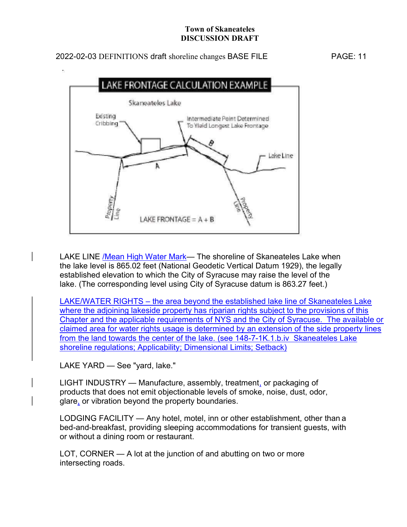# 2022-02-03 DEFINITIONS draft shoreline changes BASE FILE PAGE: 11



LAKE LINE / Mean High Water Mark— The shoreline of Skaneateles Lake when the lake level is 865.02 feet (National Geodetic Vertical Datum 1929), the legally established elevation to which the City of Syracuse may raise the level of the lake. (The corresponding level using City of Syracuse datum is 863.27 feet.)

LAKE/WATER RIGHTS – the area beyond the established lake line of Skaneateles Lake where the adjoining lakeside property has riparian rights subject to the provisions of this Chapter and the applicable requirements of NYS and the City of Syracuse. The available or claimed area for water rights usage is determined by an extension of the side property lines from the land towards the center of the lake. (see 148-7-1K.1.b.iv Skaneateles Lake shoreline regulations; Applicability; Dimensional Limits; Setback)

LAKE YARD — See "yard, lake."

LIGHT INDUSTRY — Manufacture, assembly, treatment, or packaging of products that does not emit objectionable levels of smoke, noise, dust, odor, glare, or vibration beyond the property boundaries.

LODGING FACILITY — Any hotel, motel, inn or other establishment, other than a bed-and-breakfast, providing sleeping accommodations for transient guests, with or without a dining room or restaurant.

LOT, CORNER — A lot at the junction of and abutting on two or more intersecting roads.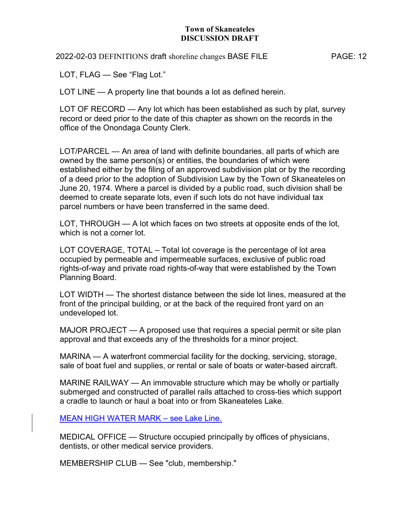2022-02-03 DEFINITIONS draft shoreline changes BASE FILE PAGE: 12

LOT, FLAG — See "Flag Lot."

LOT LINE — A property line that bounds a lot as defined herein.

LOT OF RECORD — Any lot which has been established as such by plat, survey record or deed prior to the date of this chapter as shown on the records in the office of the Onondaga County Clerk.

LOT/PARCEL — An area of land with definite boundaries, all parts of which are owned by the same person(s) or entities, the boundaries of which were established either by the filing of an approved subdivision plat or by the recording of a deed prior to the adoption of Subdivision Law by the Town of Skaneateles on June 20, 1974. Where a parcel is divided by a public road, such division shall be deemed to create separate lots, even if such lots do not have individual tax parcel numbers or have been transferred in the same deed.

LOT, THROUGH — A lot which faces on two streets at opposite ends of the lot, which is not a corner lot.

LOT COVERAGE, TOTAL – Total lot coverage is the percentage of lot area occupied by permeable and impermeable surfaces, exclusive of public road rights-of-way and private road rights-of-way that were established by the Town Planning Board.

LOT WIDTH — The shortest distance between the side lot lines, measured at the front of the principal building, or at the back of the required front yard on an undeveloped lot.

MAJOR PROJECT — A proposed use that requires a special permit or site plan approval and that exceeds any of the thresholds for a minor project.

MARINA — A waterfront commercial facility for the docking, servicing, storage, sale of boat fuel and supplies, or rental or sale of boats or water-based aircraft.

MARINE RAILWAY — An immovable structure which may be wholly or partially submerged and constructed of parallel rails attached to cross-ties which support a cradle to launch or haul a boat into or from Skaneateles Lake.

MEAN HIGH WATER MARK – see Lake Line.

MEDICAL OFFICE — Structure occupied principally by offices of physicians, dentists, or other medical service providers.

MEMBERSHIP CLUB — See "club, membership."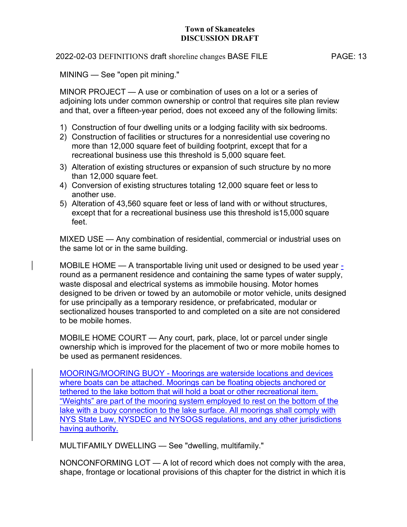#### 2022-02-03 DEFINITIONS draft shoreline changes BASE FILE PAGE: 13

MINING — See "open pit mining."

MINOR PROJECT — A use or combination of uses on a lot or a series of adjoining lots under common ownership or control that requires site plan review and that, over a fifteen-year period, does not exceed any of the following limits:

- 1) Construction of four dwelling units or a lodging facility with six bedrooms.
- 2) Construction of facilities or structures for a nonresidential use covering no more than 12,000 square feet of building footprint, except that for a recreational business use this threshold is 5,000 square feet.
- 3) Alteration of existing structures or expansion of such structure by no more than 12,000 square feet.
- 4) Conversion of existing structures totaling 12,000 square feet or less to another use.
- 5) Alteration of 43,560 square feet or less of land with or without structures, except that for a recreational business use this threshold is15,000 square feet.

MIXED USE — Any combination of residential, commercial or industrial uses on the same lot or in the same building.

MOBILE HOME — A transportable living unit used or designed to be used year round as a permanent residence and containing the same types of water supply, waste disposal and electrical systems as immobile housing. Motor homes designed to be driven or towed by an automobile or motor vehicle, units designed for use principally as a temporary residence, or prefabricated, modular or sectionalized houses transported to and completed on a site are not considered to be mobile homes.

MOBILE HOME COURT — Any court, park, place, lot or parcel under single ownership which is improved for the placement of two or more mobile homes to be used as permanent residences.

MOORING/MOORING BUOY - Moorings are waterside locations and devices where boats can be attached. Moorings can be floating objects anchored or tethered to the lake bottom that will hold a boat or other recreational item. "Weights" are part of the mooring system employed to rest on the bottom of the lake with a buoy connection to the lake surface. All moorings shall comply with NYS State Law, NYSDEC and NYSOGS regulations, and any other jurisdictions having authority.

MULTIFAMILY DWELLING — See "dwelling, multifamily."

NONCONFORMING LOT — A lot of record which does not comply with the area, shape, frontage or locational provisions of this chapter for the district in which it is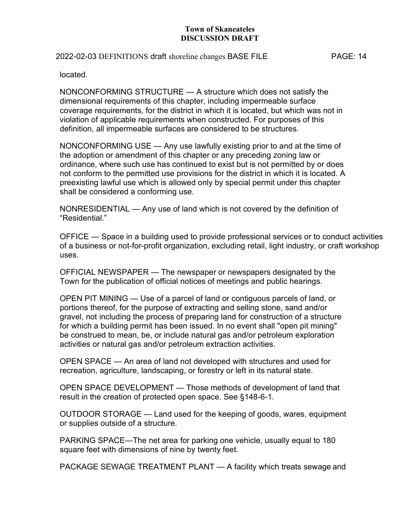## 2022-02-03 DEFINITIONS draft shoreline changes BASE FILE PAGE: 14

located.

NONCONFORMING STRUCTURE — A structure which does not satisfy the dimensional requirements of this chapter, including impermeable surface coverage requirements, for the district in which it is located, but which was not in violation of applicable requirements when constructed. For purposes of this definition, all impermeable surfaces are considered to be structures.

NONCONFORMING USE — Any use lawfully existing prior to and at the time of the adoption or amendment of this chapter or any preceding zoning law or ordinance, where such use has continued to exist but is not permitted by or does not conform to the permitted use provisions for the district in which it is located. A preexisting lawful use which is allowed only by special permit under this chapter shall be considered a conforming use.

NONRESIDENTIAL — Any use of land which is not covered by the definition of "Residential."

OFFICE — Space in a building used to provide professional services or to conduct activities of a business or not-for-profit organization, excluding retail, light industry, or craft workshop uses.

OFFICIAL NEWSPAPER — The newspaper or newspapers designated by the Town for the publication of official notices of meetings and public hearings.

OPEN PIT MINING — Use of a parcel of land or contiguous parcels of land, or portions thereof, for the purpose of extracting and selling stone, sand and/or gravel, not including the process of preparing land for construction of a structure for which a building permit has been issued. In no event shall "open pit mining" be construed to mean, be, or include natural gas and/or petroleum exploration activities or natural gas and/or petroleum extraction activities.

OPEN SPACE — An area of land not developed with structures and used for recreation, agriculture, landscaping, or forestry or left in its natural state.

OPEN SPACE DEVELOPMENT — Those methods of development of land that result in the creation of protected open space. See §148-6-1.

OUTDOOR STORAGE — Land used for the keeping of goods, wares, equipment or supplies outside of a structure.

PARKING SPACE—The net area for parking one vehicle, usually equal to 180 square feet with dimensions of nine by twenty feet.

PACKAGE SEWAGE TREATMENT PLANT — A facility which treats sewage and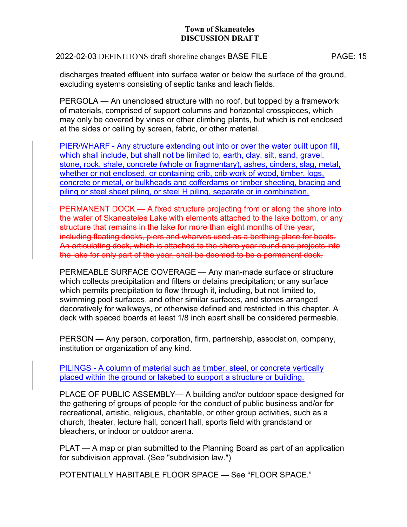2022-02-03 DEFINITIONS draft shoreline changes BASE FILE PAGE: 15

discharges treated effluent into surface water or below the surface of the ground, excluding systems consisting of septic tanks and leach fields.

PERGOLA — An unenclosed structure with no roof, but topped by a framework of materials, comprised of support columns and horizontal crosspieces, which may only be covered by vines or other climbing plants, but which is not enclosed at the sides or ceiling by screen, fabric, or other material.

PIER/WHARF - Any structure extending out into or over the water built upon fill, which shall include, but shall not be limited to, earth, clay, silt, sand, gravel, stone, rock, shale, concrete (whole or fragmentary), ashes, cinders, slag, metal, whether or not enclosed, or containing crib, crib work of wood, timber, logs, concrete or metal, or bulkheads and cofferdams or timber sheeting, bracing and piling or steel sheet piling, or steel H piling, separate or in combination.

PERMANENT DOCK - A fixed structure projecting from or along the shore into the water of Skaneateles Lake with elements attached to the lake bottom, or any structure that remains in the lake for more than eight months of the year, including floating docks, piers and wharves used as a berthing place for boats. An articulating dock, which is attached to the shore year round and projects into the lake for only part of the year, shall be deemed to be a permanent dock.

PERMEABLE SURFACE COVERAGE — Any man-made surface or structure which collects precipitation and filters or detains precipitation; or any surface which permits precipitation to flow through it, including, but not limited to, swimming pool surfaces, and other similar surfaces, and stones arranged decoratively for walkways, or otherwise defined and restricted in this chapter. A deck with spaced boards at least 1/8 inch apart shall be considered permeable.

PERSON — Any person, corporation, firm, partnership, association, company, institution or organization of any kind.

PILINGS - A column of material such as timber, steel, or concrete vertically placed within the ground or lakebed to support a structure or building.

PLACE OF PUBLIC ASSEMBLY— A building and/or outdoor space designed for the gathering of groups of people for the conduct of public business and/or for recreational, artistic, religious, charitable, or other group activities, such as a church, theater, lecture hall, concert hall, sports field with grandstand or bleachers, or indoor or outdoor arena.

PLAT — A map or plan submitted to the Planning Board as part of an application for subdivision approval. (See "subdivision law.")

POTENTIALLY HABITABLE FLOOR SPACE — See "FLOOR SPACE."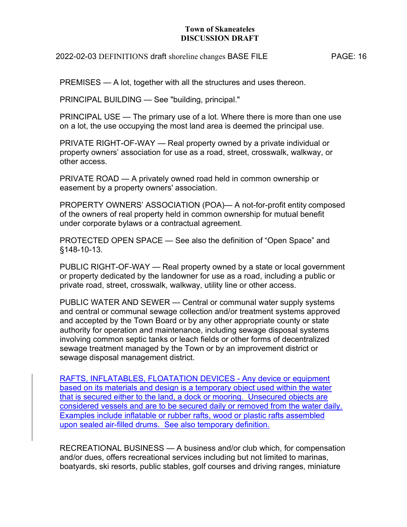2022-02-03 DEFINITIONS draft shoreline changes BASE FILE PAGE: 16

PREMISES — A lot, together with all the structures and uses thereon.

PRINCIPAL BUILDING — See "building, principal."

PRINCIPAL USE — The primary use of a lot. Where there is more than one use on a lot, the use occupying the most land area is deemed the principal use.

PRIVATE RIGHT-OF-WAY — Real property owned by a private individual or property owners' association for use as a road, street, crosswalk, walkway, or other access.

PRIVATE ROAD — A privately owned road held in common ownership or easement by a property owners' association.

PROPERTY OWNERS' ASSOCIATION (POA)— A not-for-profit entity composed of the owners of real property held in common ownership for mutual benefit under corporate bylaws or a contractual agreement.

PROTECTED OPEN SPACE — See also the definition of "Open Space" and §148-10-13.

PUBLIC RIGHT-OF-WAY — Real property owned by a state or local government or property dedicated by the landowner for use as a road, including a public or private road, street, crosswalk, walkway, utility line or other access.

PUBLIC WATER AND SEWER — Central or communal water supply systems and central or communal sewage collection and/or treatment systems approved and accepted by the Town Board or by any other appropriate county or state authority for operation and maintenance, including sewage disposal systems involving common septic tanks or leach fields or other forms of decentralized sewage treatment managed by the Town or by an improvement district or sewage disposal management district.

RAFTS, INFLATABLES, FLOATATION DEVICES - Any device or equipment based on its materials and design is a temporary object used within the water that is secured either to the land, a dock or mooring. Unsecured objects are considered vessels and are to be secured daily or removed from the water daily. Examples include inflatable or rubber rafts, wood or plastic rafts assembled upon sealed air-filled drums. See also temporary definition.

RECREATIONAL BUSINESS — A business and/or club which, for compensation and/or dues, offers recreational services including but not limited to marinas, boatyards, ski resorts, public stables, golf courses and driving ranges, miniature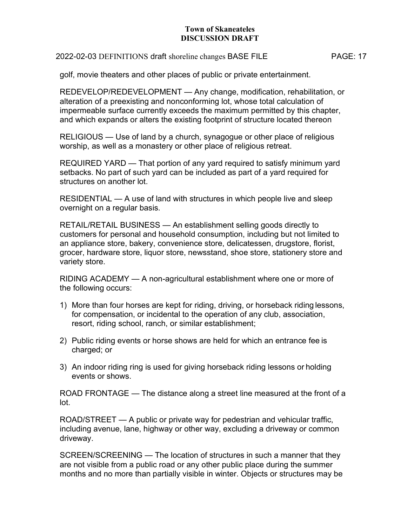#### 2022-02-03 DEFINITIONS draft shoreline changes BASE FILE PAGE: 17

golf, movie theaters and other places of public or private entertainment.

REDEVELOP/REDEVELOPMENT — Any change, modification, rehabilitation, or alteration of a preexisting and nonconforming lot, whose total calculation of impermeable surface currently exceeds the maximum permitted by this chapter, and which expands or alters the existing footprint of structure located thereon

RELIGIOUS — Use of land by a church, synagogue or other place of religious worship, as well as a monastery or other place of religious retreat.

REQUIRED YARD — That portion of any yard required to satisfy minimum yard setbacks. No part of such yard can be included as part of a yard required for structures on another lot.

RESIDENTIAL — A use of land with structures in which people live and sleep overnight on a regular basis.

RETAIL/RETAIL BUSINESS — An establishment selling goods directly to customers for personal and household consumption, including but not limited to an appliance store, bakery, convenience store, delicatessen, drugstore, florist, grocer, hardware store, liquor store, newsstand, shoe store, stationery store and variety store.

RIDING ACADEMY — A non-agricultural establishment where one or more of the following occurs:

- 1) More than four horses are kept for riding, driving, or horseback riding lessons, for compensation, or incidental to the operation of any club, association, resort, riding school, ranch, or similar establishment;
- 2) Public riding events or horse shows are held for which an entrance fee is charged; or
- 3) An indoor riding ring is used for giving horseback riding lessons or holding events or shows.

ROAD FRONTAGE — The distance along a street line measured at the front of a lot.

ROAD/STREET — A public or private way for pedestrian and vehicular traffic, including avenue, lane, highway or other way, excluding a driveway or common driveway.

SCREEN/SCREENING — The location of structures in such a manner that they are not visible from a public road or any other public place during the summer months and no more than partially visible in winter. Objects or structures may be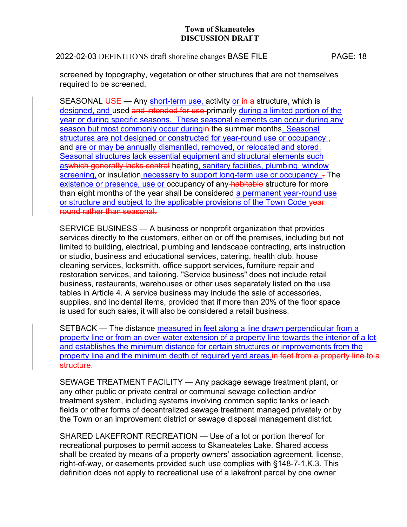## 2022-02-03 DEFINITIONS draft shoreline changes BASE FILE PAGE: 18

screened by topography, vegetation or other structures that are not themselves required to be screened.

SEASONAL USE — Any short-term use, activity or in a structure, which is designed, and used and intended for use primarily during a limited portion of the year or during specific seasons. These seasonal elements can occur during any season but most commonly occur duringin the summer months. Seasonal structures are not designed or constructed for year-round use or occupancy, and are or may be annually dismantled, removed, or relocated and stored. Seasonal structures lack essential equipment and structural elements such aswhich generally lacks central heating, sanitary facilities, plumbing, window screening, or insulation necessary to support long-term use or occupancy .. The existence or presence, use or occupancy of any habitable structure for more than eight months of the year shall be considered a permanent year-round use or structure and subject to the applicable provisions of the Town Code vear round rather than seasonal.

SERVICE BUSINESS — A business or nonprofit organization that provides services directly to the customers, either on or off the premises, including but not limited to building, electrical, plumbing and landscape contracting, arts instruction or studio, business and educational services, catering, health club, house cleaning services, locksmith, office support services, furniture repair and restoration services, and tailoring. "Service business" does not include retail business, restaurants, warehouses or other uses separately listed on the use tables in Article 4. A service business may include the sale of accessories, supplies, and incidental items, provided that if more than 20% of the floor space is used for such sales, it will also be considered a retail business.

SETBACK — The distance measured in feet along a line drawn perpendicular from a property line or from an over-water extension of a property line towards the interior of a lot and establishes the minimum distance for certain structures or improvements from the property line and the minimum depth of required yard areas. in feet from a property line to a structure.

SEWAGE TREATMENT FACILITY — Any package sewage treatment plant, or any other public or private central or communal sewage collection and/or treatment system, including systems involving common septic tanks or leach fields or other forms of decentralized sewage treatment managed privately or by the Town or an improvement district or sewage disposal management district.

SHARED LAKEFRONT RECREATION — Use of a lot or portion thereof for recreational purposes to permit access to Skaneateles Lake. Shared access shall be created by means of a property owners' association agreement, license, right-of-way, or easements provided such use complies with §148-7-1.K.3. This definition does not apply to recreational use of a lakefront parcel by one owner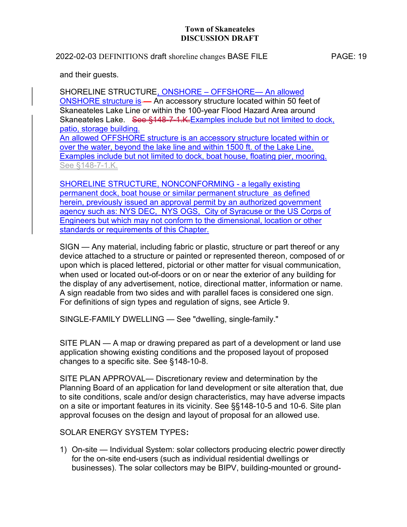## 2022-02-03 DEFINITIONS draft shoreline changes BASE FILE PAGE: 19

and their guests.

SHORELINE STRUCTURE, ONSHORE – OFFSHORE— An allowed ONSHORE structure is — An accessory structure located within 50 feet of Skaneateles Lake Line or within the 100-year Flood Hazard Area around Skaneateles Lake. See §148-7-1.K. Examples include but not limited to dock, patio, storage building. An allowed OFFSHORE structure is an accessory structure located within or over the water, beyond the lake line and within 1500 ft. of the Lake Line. Examples include but not limited to dock, boat house, floating pier, mooring. See §148-7-1.K.

SHORELINE STRUCTURE, NONCONFORMING - a legally existing permanent dock, boat house or similar permanent structure as defined herein, previously issued an approval permit by an authorized government agency such as: NYS DEC, NYS OGS, City of Syracuse or the US Corps of Engineers but which may not conform to the dimensional, location or other standards or requirements of this Chapter.

SIGN — Any material, including fabric or plastic, structure or part thereof or any device attached to a structure or painted or represented thereon, composed of or upon which is placed lettered, pictorial or other matter for visual communication, when used or located out-of-doors or on or near the exterior of any building for the display of any advertisement, notice, directional matter, information or name. A sign readable from two sides and with parallel faces is considered one sign. For definitions of sign types and regulation of signs, see Article 9.

SINGLE-FAMILY DWELLING — See "dwelling, single-family."

SITE PLAN — A map or drawing prepared as part of a development or land use application showing existing conditions and the proposed layout of proposed changes to a specific site. See §148-10-8.

SITE PLAN APPROVAL— Discretionary review and determination by the Planning Board of an application for land development or site alteration that, due to site conditions, scale and/or design characteristics, may have adverse impacts on a site or important features in its vicinity. See §§148-10-5 and 10-6. Site plan approval focuses on the design and layout of proposal for an allowed use.

SOLAR ENERGY SYSTEM TYPES:

1) On-site — Individual System: solar collectors producing electric power directly for the on-site end-users (such as individual residential dwellings or businesses). The solar collectors may be BIPV, building-mounted or ground-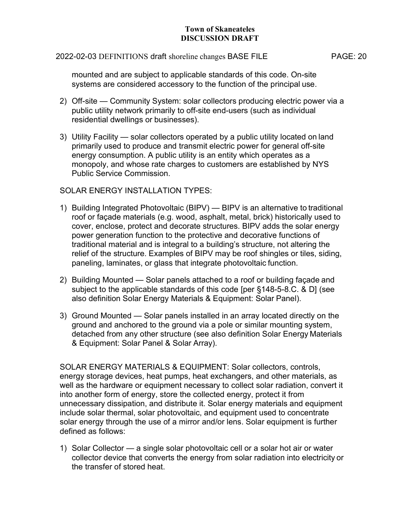#### 2022-02-03 DEFINITIONS draft shoreline changes BASE FILE PAGE: 20

mounted and are subject to applicable standards of this code. On-site systems are considered accessory to the function of the principal use.

- 2) Off-site Community System: solar collectors producing electric power via a public utility network primarily to off-site end-users (such as individual residential dwellings or businesses).
- 3) Utility Facility solar collectors operated by a public utility located on land primarily used to produce and transmit electric power for general off-site energy consumption. A public utility is an entity which operates as a monopoly, and whose rate charges to customers are established by NYS Public Service Commission.

# SOLAR ENERGY INSTALLATION TYPES:

- 1) Building Integrated Photovoltaic (BIPV) BIPV is an alternative to traditional roof or façade materials (e.g. wood, asphalt, metal, brick) historically used to cover, enclose, protect and decorate structures. BIPV adds the solar energy power generation function to the protective and decorative functions of traditional material and is integral to a building's structure, not altering the relief of the structure. Examples of BIPV may be roof shingles or tiles, siding, paneling, laminates, or glass that integrate photovoltaic function.
- 2) Building Mounted Solar panels attached to a roof or building façade and subject to the applicable standards of this code [per §148-5-8.C. & D] (see also definition Solar Energy Materials & Equipment: Solar Panel).
- 3) Ground Mounted Solar panels installed in an array located directly on the ground and anchored to the ground via a pole or similar mounting system, detached from any other structure (see also definition Solar Energy Materials & Equipment: Solar Panel & Solar Array).

SOLAR ENERGY MATERIALS & EQUIPMENT: Solar collectors, controls, energy storage devices, heat pumps, heat exchangers, and other materials, as well as the hardware or equipment necessary to collect solar radiation, convert it into another form of energy, store the collected energy, protect it from unnecessary dissipation, and distribute it. Solar energy materials and equipment include solar thermal, solar photovoltaic, and equipment used to concentrate solar energy through the use of a mirror and/or lens. Solar equipment is further defined as follows:

1) Solar Collector — a single solar photovoltaic cell or a solar hot air or water collector device that converts the energy from solar radiation into electricity or the transfer of stored heat.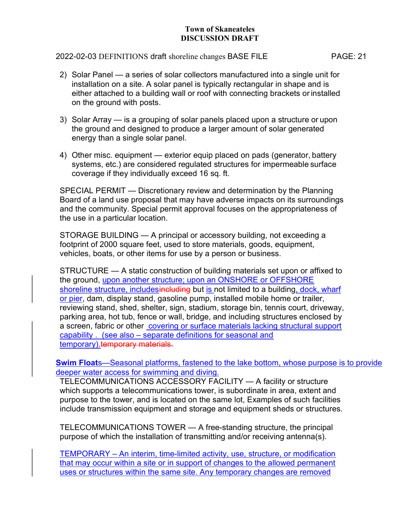## 2022-02-03 DEFINITIONS draft shoreline changes BASE FILE PAGE: 21

- 2) Solar Panel a series of solar collectors manufactured into a single unit for installation on a site. A solar panel is typically rectangular in shape and is either attached to a building wall or roof with connecting brackets or installed on the ground with posts.
- 3) Solar Array is a grouping of solar panels placed upon a structure or upon the ground and designed to produce a larger amount of solar generated energy than a single solar panel.
- 4) Other misc. equipment exterior equip placed on pads (generator, battery systems, etc.) are considered regulated structures for impermeable surface coverage if they individually exceed 16 sq. ft.

SPECIAL PERMIT — Discretionary review and determination by the Planning Board of a land use proposal that may have adverse impacts on its surroundings and the community. Special permit approval focuses on the appropriateness of the use in a particular location.

STORAGE BUILDING — A principal or accessory building, not exceeding a footprint of 2000 square feet, used to store materials, goods, equipment, vehicles, boats, or other items for use by a person or business.

STRUCTURE — A static construction of building materials set upon or affixed to the ground, upon another structure; upon an ONSHORE or OFFSHORE shoreline structure, includesincluding but is not limited to a building, dock, wharf or pier, dam, display stand, gasoline pump, installed mobile home or trailer, reviewing stand, shed, shelter, sign, stadium, storage bin, tennis court, driveway, parking area, hot tub, fence or wall, bridge, and including structures enclosed by a screen, fabric or other covering or surface materials lacking structural support capability . (see also – separate definitions for seasonal and temporary). temporary materials.

Swim Floats—Seasonal platforms, fastened to the lake bottom, whose purpose is to provide deeper water access for swimming and diving.

TELECOMMUNICATIONS ACCESSORY FACILITY — A facility or structure which supports a telecommunications tower, is subordinate in area, extent and purpose to the tower, and is located on the same lot, Examples of such facilities include transmission equipment and storage and equipment sheds or structures.

TELECOMMUNICATIONS TOWER — A free-standing structure, the principal purpose of which the installation of transmitting and/or receiving antenna(s).

TEMPORARY – An interim, time-limited activity, use, structure, or modification that may occur within a site or in support of changes to the allowed permanent uses or structures within the same site. Any temporary changes are removed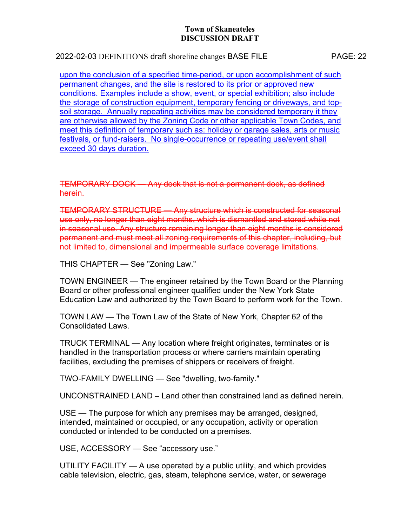2022-02-03 DEFINITIONS draft shoreline changes BASE FILE PAGE: 22

upon the conclusion of a specified time-period, or upon accomplishment of such permanent changes, and the site is restored to its prior or approved new conditions. Examples include a show, event, or special exhibition; also include the storage of construction equipment, temporary fencing or driveways, and topsoil storage. Annually repeating activities may be considered temporary it they are otherwise allowed by the Zoning Code or other applicable Town Codes, and meet this definition of temporary such as: holiday or garage sales, arts or music festivals, or fund-raisers. No single-occurrence or repeating use/event shall exceed 30 days duration.

TEMPORARY DOCK — Any dock that is not a permanent dock, as defined herein.

TEMPORARY STRUCTURE — Any structure which is constructed for seasonal use only, no longer than eight months, which is dismantled and stored while not in seasonal use. Any structure remaining longer than eight months is considered permanent and must meet all zoning requirements of this chapter, including, but not limited to, dimensional and impermeable surface coverage limitations.

THIS CHAPTER — See "Zoning Law."

TOWN ENGINEER — The engineer retained by the Town Board or the Planning Board or other professional engineer qualified under the New York State Education Law and authorized by the Town Board to perform work for the Town.

TOWN LAW — The Town Law of the State of New York, Chapter 62 of the Consolidated Laws.

TRUCK TERMINAL — Any location where freight originates, terminates or is handled in the transportation process or where carriers maintain operating facilities, excluding the premises of shippers or receivers of freight.

TWO-FAMILY DWELLING — See "dwelling, two-family."

UNCONSTRAINED LAND – Land other than constrained land as defined herein.

USE — The purpose for which any premises may be arranged, designed, intended, maintained or occupied, or any occupation, activity or operation conducted or intended to be conducted on a premises.

USE, ACCESSORY — See "accessory use."

UTILITY FACILITY — A use operated by a public utility, and which provides cable television, electric, gas, steam, telephone service, water, or sewerage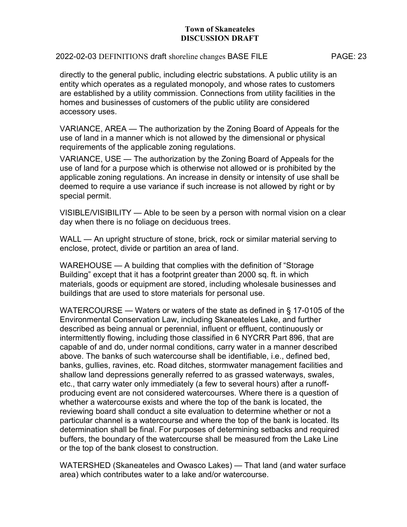## 2022-02-03 DEFINITIONS draft shoreline changes BASE FILE PAGE: 23

directly to the general public, including electric substations. A public utility is an entity which operates as a regulated monopoly, and whose rates to customers are established by a utility commission. Connections from utility facilities in the homes and businesses of customers of the public utility are considered accessory uses.

VARIANCE, AREA — The authorization by the Zoning Board of Appeals for the use of land in a manner which is not allowed by the dimensional or physical requirements of the applicable zoning regulations.

VARIANCE, USE — The authorization by the Zoning Board of Appeals for the use of land for a purpose which is otherwise not allowed or is prohibited by the applicable zoning regulations. An increase in density or intensity of use shall be deemed to require a use variance if such increase is not allowed by right or by special permit.

VISIBLE/VISIBILITY — Able to be seen by a person with normal vision on a clear day when there is no foliage on deciduous trees.

WALL — An upright structure of stone, brick, rock or similar material serving to enclose, protect, divide or partition an area of land.

WAREHOUSE — A building that complies with the definition of "Storage Building" except that it has a footprint greater than 2000 sq. ft. in which materials, goods or equipment are stored, including wholesale businesses and buildings that are used to store materials for personal use.

WATERCOURSE — Waters or waters of the state as defined in § 17-0105 of the Environmental Conservation Law, including Skaneateles Lake, and further described as being annual or perennial, influent or effluent, continuously or intermittently flowing, including those classified in 6 NYCRR Part 896, that are capable of and do, under normal conditions, carry water in a manner described above. The banks of such watercourse shall be identifiable, i.e., defined bed, banks, gullies, ravines, etc. Road ditches, stormwater management facilities and shallow land depressions generally referred to as grassed waterways, swales, etc., that carry water only immediately (a few to several hours) after a runoffproducing event are not considered watercourses. Where there is a question of whether a watercourse exists and where the top of the bank is located, the reviewing board shall conduct a site evaluation to determine whether or not a particular channel is a watercourse and where the top of the bank is located. Its determination shall be final. For purposes of determining setbacks and required buffers, the boundary of the watercourse shall be measured from the Lake Line or the top of the bank closest to construction.

WATERSHED (Skaneateles and Owasco Lakes) — That land (and water surface area) which contributes water to a lake and/or watercourse.